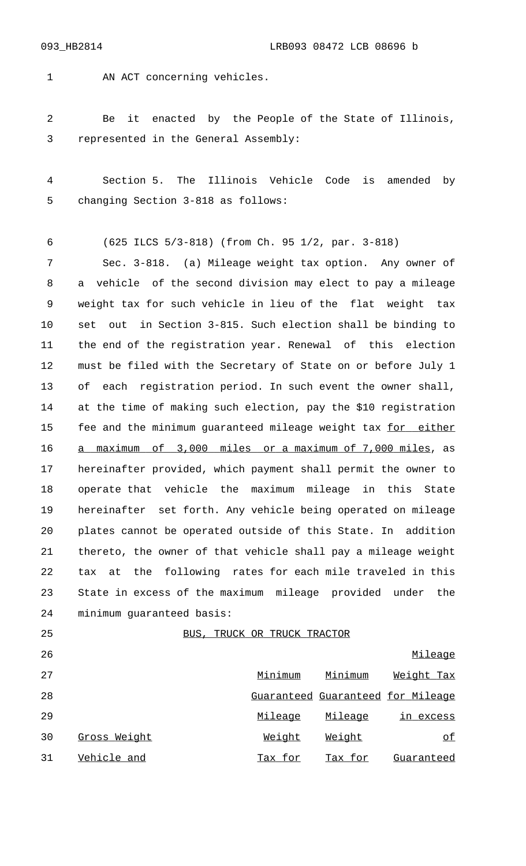1 AN ACT concerning vehicles.

 Be it enacted by the People of the State of Illinois, represented in the General Assembly:

 Section 5. The Illinois Vehicle Code is amended by changing Section 3-818 as follows:

(625 ILCS 5/3-818) (from Ch. 95 1/2, par. 3-818)

 Sec. 3-818. (a) Mileage weight tax option. Any owner of a vehicle of the second division may elect to pay a mileage weight tax for such vehicle in lieu of the flat weight tax set out in Section 3-815. Such election shall be binding to the end of the registration year. Renewal of this election must be filed with the Secretary of State on or before July 1 of each registration period. In such event the owner shall, at the time of making such election, pay the \$10 registration 15 fee and the minimum guaranteed mileage weight tax for either 16 a maximum of 3,000 miles or a maximum of 7,000 miles, as hereinafter provided, which payment shall permit the owner to operate that vehicle the maximum mileage in this State hereinafter set forth. Any vehicle being operated on mileage plates cannot be operated outside of this State. In addition thereto, the owner of that vehicle shall pay a mileage weight tax at the following rates for each mile traveled in this State in excess of the maximum mileage provided under the minimum guaranteed basis:

25 BUS, TRUCK OR TRUCK TRACTOR

| 26 |              |         |         | Mileage                           |  |
|----|--------------|---------|---------|-----------------------------------|--|
| 27 |              | Minimum | Minimum | Weight Tax                        |  |
| 28 |              |         |         | Guaranteed Guaranteed for Mileage |  |
| 29 |              | Mileage | Mileage | in excess                         |  |
| 30 | Gross Weight | Weight  | Weight  | of                                |  |
| 31 | Vehicle and  | Tax for | Tax for | Guaranteed                        |  |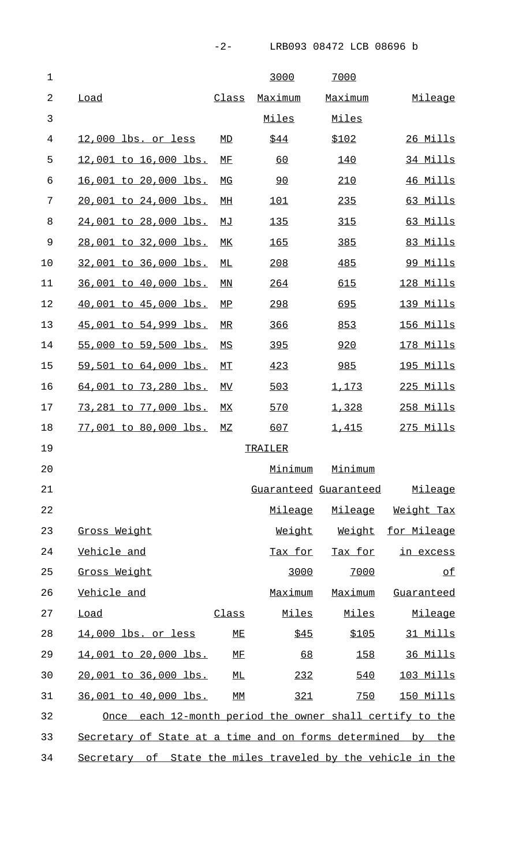| $\mathbf 1$    |                                                             |                     | 3000         | 7000                  |                   |  |
|----------------|-------------------------------------------------------------|---------------------|--------------|-----------------------|-------------------|--|
| $\overline{2}$ | Load                                                        | Class               | Maximum      | Maximum               | Mileage           |  |
| 3              |                                                             |                     | Miles        | Miles                 |                   |  |
| 4              | 12,000 lbs. or less                                         | MD                  | \$44         | <u>\$102</u>          | 26 Mills          |  |
| 5              | <u>12,001 to 16,000 lbs.</u>                                | МF                  | <u>60</u>    | 140                   | 34 Mills          |  |
| 6              | <u>16,001 to 20,000 lbs.</u>                                | МG                  | 90           | 210                   | <u>46 Mills</u>   |  |
| 7              | 20,001 to 24,000 lbs.                                       | МH                  | 101          | 235                   | 63 Mills          |  |
| 8              | <u>24,001 to 28,000 lbs.</u>                                | МJ                  | 135          | 315                   | 63 Mills          |  |
| 9              | 28,001 to 32,000 lbs.                                       | МK                  | <u>165</u>   | 385                   | 83 Mills          |  |
| 10             | 32,001 to 36,000 lbs.                                       | МL                  | 208          | 485                   | 99 Mills          |  |
| 11             | 36,001 to 40,000 lbs.                                       | ΜN                  | 264          | 615                   | <u>128 Mills</u>  |  |
| 12             | <u>40,001 to 45,000 lbs.</u>                                | МP                  | 298          | 695                   | 139 Mills         |  |
| 13             | 45,001 to 54,999 lbs.                                       | MR                  | 366          | 853                   | 156 Mills         |  |
| 14             | 55,000 to 59,500 lbs.                                       | ΜS                  | 395          | 920                   | <u>178 Mills</u>  |  |
| 15             | 59,501 to 64,000 lbs.                                       | MТ                  | 423          | 985                   | <u> 195 Mills</u> |  |
| 16             | <u>64,001 to 73,280 lbs.</u>                                | МV                  | 503          | 1,173                 | 225 Mills         |  |
| 17             | 73,281 to 77,000 lbs.                                       | МX                  | 570          | 1,328                 | 258 Mills         |  |
| 18             | 77,001 to 80,000 lbs.                                       | MZ                  | 607          | 1,415                 | $275$ Mills       |  |
| 19             |                                                             |                     | TRAILER      |                       |                   |  |
| 20             |                                                             |                     | Minimum      | Minimum               |                   |  |
| 21             |                                                             |                     |              | Guaranteed Guaranteed | <u>Mileage</u>    |  |
| 22             |                                                             |                     | Mileage      | Mileage               | <u>Weight Tax</u> |  |
| 23             | Gross Weight                                                |                     | Weight       | Weight                | for Mileage       |  |
| 24             | Vehicle and                                                 |                     | Tax for      | <u>Tax for</u>        | in excess         |  |
| 25             | Gross Weight                                                |                     | 3000         | 7000                  | of                |  |
| 26             | Vehicle and                                                 |                     | Maximum      | Maximum               | <u>Guaranteed</u> |  |
| 27             | <b>Load</b>                                                 | <u>Class</u>        | <u>Miles</u> | Miles                 | Mileage           |  |
| 28             | 14,000 lbs. or less                                         | ME                  | \$45         | \$105                 | 31 Mills          |  |
| 29             | 14,001 to 20,000 lbs.                                       | <u>МF</u>           | 68           | 158                   | 36 Mills          |  |
| 30             | <u>20,001 to 36,000 lbs.</u>                                | $\overline{\rm ML}$ | 232          | 540                   | 103 Mills         |  |
| 31             | 36,001 to 40,000 lbs.                                       | МM                  | 321          | 750                   | 150 Mills         |  |
| 32             | Once each 12-month period the owner shall certify to the    |                     |              |                       |                   |  |
| 33             | Secretary of State at a time and on forms determined by the |                     |              |                       |                   |  |
| 34             | Secretary of State the miles traveled by the vehicle in the |                     |              |                       |                   |  |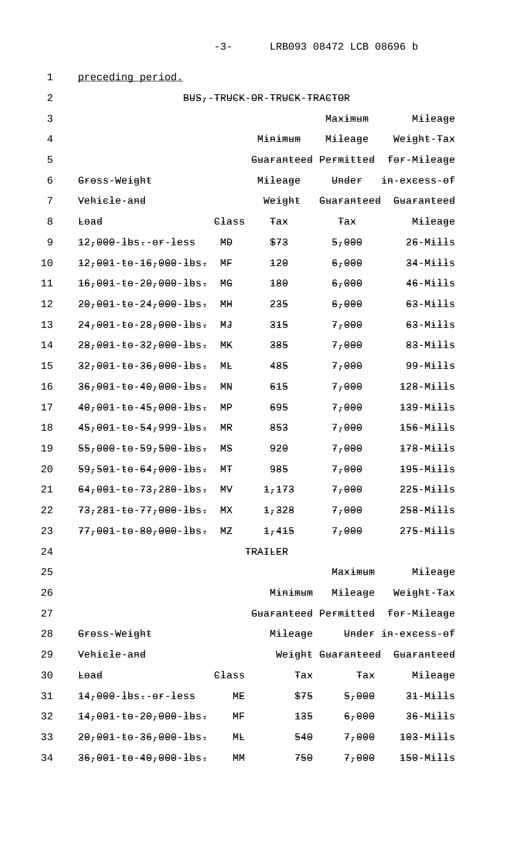| $\mathbf 1$    | preceding period.                                                          |                     |                      |                            |                                  |  |
|----------------|----------------------------------------------------------------------------|---------------------|----------------------|----------------------------|----------------------------------|--|
| $\overline{2}$ | BUS--TRUCK-OR-TRUCK-TRACTOR                                                |                     |                      |                            |                                  |  |
| 3              |                                                                            |                     |                      | Maximum                    | Mileage                          |  |
| $\overline{4}$ |                                                                            |                     | Minimum              | Mileage                    | Weight-Tax                       |  |
| 5              |                                                                            |                     | Guaranteed Permitted |                            | for-Mileage                      |  |
| 6              | Gross-Weight                                                               |                     | Mileage              | Under                      | in-excess-of                     |  |
| 7              | Vehicle-and                                                                |                     | Weight               | Guaranteed                 | Guaranteed                       |  |
| 8              | Lead                                                                       | $C_{\texttt{lass}}$ | Tax                  | Tax                        | Mileage                          |  |
| $\mathsf 9$    | $12,000 - 1$ bs.-or-less                                                   | MĐ                  | \$73                 | $5 - \theta \theta \theta$ | $26 - M \pm 11s$                 |  |
| 10             | $12,001-t0-16,000-1$ bs.                                                   | ΜF                  | 120                  | 6,000                      | $34-M\pm\pm\pm s$                |  |
| 11             | $16,001-t0-20,000-1$ bs.                                                   | МG                  | 180                  | 6,000                      | $46 - M \pm 11s$                 |  |
| 12             | $2\theta$ , $\theta\theta$ 1-to-24, $\theta\theta\theta$ -lbs.             | MH                  | 235                  | 6,7000                     | $63 - M \pm 11s$                 |  |
| 13             | $24,001 - 50 - 28,000 - 10s$ .                                             | МJ                  | 315                  | 7,000                      | $63 - M \pm 11s$                 |  |
| 14             | $28,001 - 50 - 32,000 - 100.$                                              | МK                  | 385                  | 7,000                      | $83 - M \pm 11s$                 |  |
| 15             | $327001 - 50 - 367000 - 100$                                               | MЬ                  | 485                  | 7,000                      | $99 - M \pm 11s$                 |  |
| 16             | $36,001 - 50 - 40,000 - 10s$ .                                             | МŊ                  | 615                  | 7,000                      | $128 - M \pm 11s$                |  |
| 17             | $40,001-t0-45,000-1$ bs.                                                   | ΜP                  | 695                  | 7,000                      | $139 - M \pm 11s$                |  |
| 18             | $45,001 - 50 - 54,999 - 105.$                                              | ΜR                  | 853                  | 7,000                      | $156 - M \pm 11s$                |  |
| 19             | $55,000 - 59,500 - 105.$                                                   | MS                  | 920                  | 7,000                      | $178 - M \pm 11s$                |  |
| 20             | $59,501 - 50 - 64,000 - 10s$ .                                             | МŦ                  | 985                  | 7,000                      | $195 - M \pm 11s$                |  |
| 21             | $64,001-t0-73,280-tbs.$                                                    | ΜA                  | 1,173                | 77000                      | $225 - M \pm \pm \pm s$          |  |
| 22             | $73,281 - 6 - 77,000 - 10s$                                                | МX                  | 1,328                | 77000                      | $258 - M \pm \pm \pm s$          |  |
| 23             | $77,001 - \text{to} -80,000 - \text{h}$ s.                                 | МZ                  | 1,415                | 77000                      | $275 - M \pm \pm \pm s$          |  |
| 24             |                                                                            |                     | <b>TRAILER</b>       |                            |                                  |  |
| 25             |                                                                            |                     |                      | Maximum                    | Mileage                          |  |
| 26             |                                                                            |                     | Minimum              | Mileage                    | Weight-Tax                       |  |
| 27             |                                                                            |                     |                      |                            | Guaranteed Permitted for-Mileage |  |
| 28             | Gross-Weight                                                               |                     | Mileage              |                            | Under in-excess-of               |  |
| 29             | Vehicle-and                                                                |                     |                      | Weight Guaranteed          | Guaranteed                       |  |
| 30             | Lead                                                                       | $C_{\texttt{lass}}$ | Tax                  | Tax                        | Mileage                          |  |
| 31             | $14,000 - 1$ bs--or-less                                                   | MЕ                  | \$75                 | 5,000                      | $31 - M \pm 11s$                 |  |
| 32             | $147001 - 50 - 20700 - 100$                                                | ΜF                  | 135                  | 6,000                      | $36 - M \pm 11s$                 |  |
| 33             | $2\theta$ , $\theta$ $\theta$ $1$ -to-36, $\theta$ $\theta$ $\theta$ -lbs. | MЬ                  | 540                  | 7,000                      | $103 - M \pm 11s$                |  |
| 34             | $36,001 - 50 - 40,000 - 10s$ .                                             | MМ                  | 750                  | 7,000                      | $150 - M \pm 11s$                |  |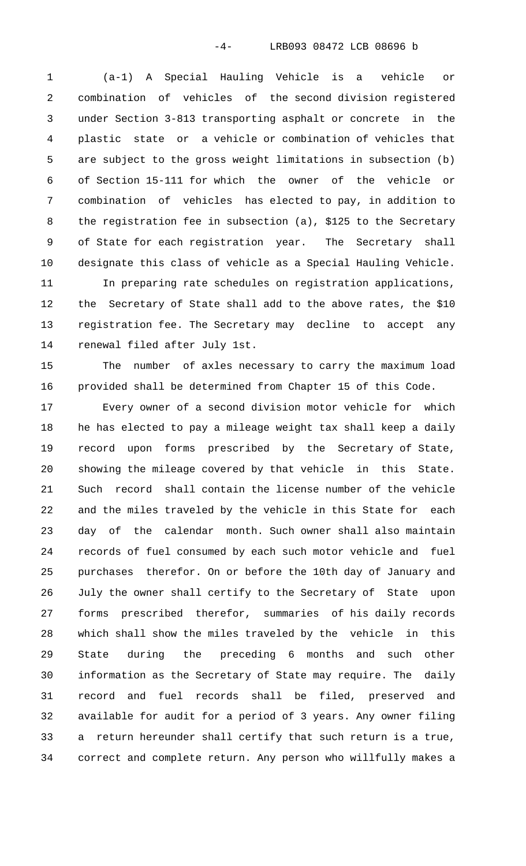(a-1) A Special Hauling Vehicle is a vehicle or combination of vehicles of the second division registered under Section 3-813 transporting asphalt or concrete in the plastic state or a vehicle or combination of vehicles that are subject to the gross weight limitations in subsection (b) of Section 15-111 for which the owner of the vehicle or combination of vehicles has elected to pay, in addition to the registration fee in subsection (a), \$125 to the Secretary of State for each registration year. The Secretary shall designate this class of vehicle as a Special Hauling Vehicle.

 In preparing rate schedules on registration applications, the Secretary of State shall add to the above rates, the \$10 registration fee. The Secretary may decline to accept any renewal filed after July 1st.

 The number of axles necessary to carry the maximum load provided shall be determined from Chapter 15 of this Code.

 Every owner of a second division motor vehicle for which he has elected to pay a mileage weight tax shall keep a daily record upon forms prescribed by the Secretary of State, showing the mileage covered by that vehicle in this State. Such record shall contain the license number of the vehicle and the miles traveled by the vehicle in this State for each day of the calendar month. Such owner shall also maintain records of fuel consumed by each such motor vehicle and fuel purchases therefor. On or before the 10th day of January and July the owner shall certify to the Secretary of State upon forms prescribed therefor, summaries of his daily records which shall show the miles traveled by the vehicle in this State during the preceding 6 months and such other information as the Secretary of State may require. The daily record and fuel records shall be filed, preserved and available for audit for a period of 3 years. Any owner filing a return hereunder shall certify that such return is a true, correct and complete return. Any person who willfully makes a